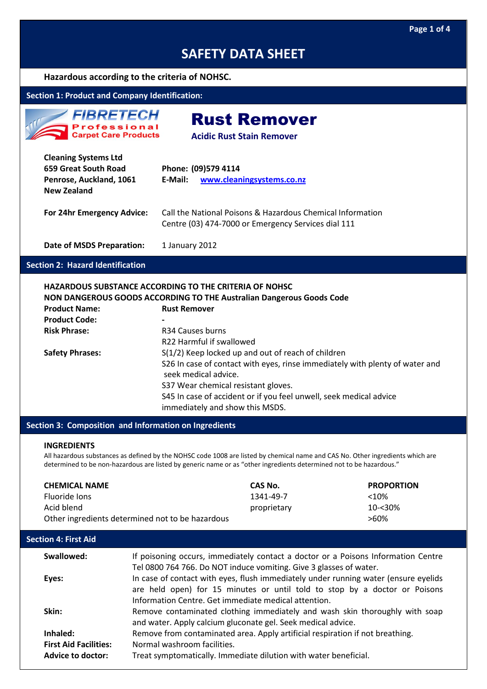#### **Hazardous according to the criteria of NOHSC.**

#### **Section 1: Product and Company Identification:**

| <b>FIBRETECH</b>                     |
|--------------------------------------|
| Professional<br>Carpet Care Products |

## Rust Remover

**Acidic Rust Stain Remover**

| <b>Cleaning Systems Ltd</b><br>659 Great South Road<br>Penrose, Auckland, 1061<br><b>New Zealand</b> | Phone: (09)579 4114<br>www.cleaningsystems.co.nz<br>E-Mail:                                                       |
|------------------------------------------------------------------------------------------------------|-------------------------------------------------------------------------------------------------------------------|
| For 24hr Emergency Advice:                                                                           | Call the National Poisons & Hazardous Chemical Information<br>Centre (03) 474-7000 or Emergency Services dial 111 |
| Date of MSDS Preparation:                                                                            | 1 January 2012                                                                                                    |

#### **Section 2: Hazard Identification**

#### **HAZARDOUS SUBSTANCE ACCORDING TO THE CRITERIA OF NOHSC**

|                        | NON DANGEROUS GOODS ACCORDING TO THE Australian Dangerous Goods Code                                 |
|------------------------|------------------------------------------------------------------------------------------------------|
| <b>Product Name:</b>   | <b>Rust Remover</b>                                                                                  |
| <b>Product Code:</b>   |                                                                                                      |
| <b>Risk Phrase:</b>    | R34 Causes burns                                                                                     |
|                        | R22 Harmful if swallowed                                                                             |
| <b>Safety Phrases:</b> | S(1/2) Keep locked up and out of reach of children                                                   |
|                        | S26 In case of contact with eyes, rinse immediately with plenty of water and<br>seek medical advice. |
|                        | S37 Wear chemical resistant gloves.                                                                  |
|                        | S45 In case of accident or if you feel unwell, seek medical advice                                   |
|                        | immediately and show this MSDS.                                                                      |

#### **Section 3: Composition and Information on Ingredients**

#### **INGREDIENTS**

All hazardous substances as defined by the NOHSC code 1008 are listed by chemical name and CAS No. Other ingredients which are determined to be non-hazardous are listed by generic name or as "other ingredients determined not to be hazardous."

| <b>CHEMICAL NAME</b>                                     | CAS No.     | <b>PROPORTION</b> |
|----------------------------------------------------------|-------------|-------------------|
| Fluoride lons                                            | 1341-49-7   | $<10\%$           |
| Acid blend                                               | proprietary | $10 - 30\%$       |
| Other ingredients determined not to be hazardous<br>>60% |             |                   |

### **Swallowed:** If poisoning occurs, immediately contact a doctor or a Poisons Information Centre Tel 0800 764 766. Do NOT induce vomiting. Give 3 glasses of water. **Eyes:** In case of contact with eyes, flush immediately under running water (ensure eyelids are held open) for 15 minutes or until told to stop by a doctor or Poisons Information Centre. Get immediate medical attention. **Skin:** Remove contaminated clothing immediately and wash skin thoroughly with soap and water. Apply calcium gluconate gel. Seek medical advice. **Inhaled:** Remove from contaminated area. Apply artificial respiration if not breathing. **First Aid Facilities:** Normal washroom facilities. **Advice to doctor:** Treat symptomatically. Immediate dilution with water beneficial. **Section 4: First Aid**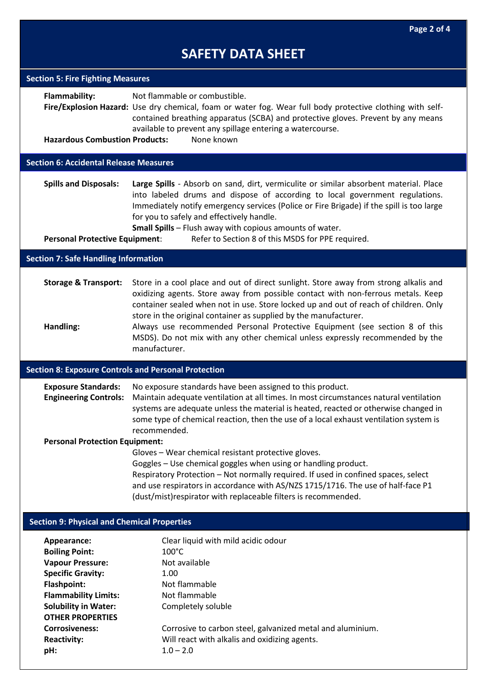| <b>Section 5: Fire Fighting Measures</b>                                                                                                                                                                                            |                                                                                                                                                                                                                                                                                                                                                                                                                                                                                                                       |
|-------------------------------------------------------------------------------------------------------------------------------------------------------------------------------------------------------------------------------------|-----------------------------------------------------------------------------------------------------------------------------------------------------------------------------------------------------------------------------------------------------------------------------------------------------------------------------------------------------------------------------------------------------------------------------------------------------------------------------------------------------------------------|
| Flammability:<br><b>Hazardous Combustion Products:</b>                                                                                                                                                                              | Not flammable or combustible.<br>Fire/Explosion Hazard: Use dry chemical, foam or water fog. Wear full body protective clothing with self-<br>contained breathing apparatus (SCBA) and protective gloves. Prevent by any means<br>available to prevent any spillage entering a watercourse.<br>None known                                                                                                                                                                                                             |
|                                                                                                                                                                                                                                     |                                                                                                                                                                                                                                                                                                                                                                                                                                                                                                                       |
| <b>Section 6: Accidental Release Measures</b>                                                                                                                                                                                       |                                                                                                                                                                                                                                                                                                                                                                                                                                                                                                                       |
| <b>Spills and Disposals:</b><br><b>Personal Protective Equipment:</b>                                                                                                                                                               | Large Spills - Absorb on sand, dirt, vermiculite or similar absorbent material. Place<br>into labeled drums and dispose of according to local government regulations.<br>Immediately notify emergency services (Police or Fire Brigade) if the spill is too large<br>for you to safely and effectively handle.<br>Small Spills - Flush away with copious amounts of water.<br>Refer to Section 8 of this MSDS for PPE required.                                                                                       |
| <b>Section 7: Safe Handling Information</b>                                                                                                                                                                                         |                                                                                                                                                                                                                                                                                                                                                                                                                                                                                                                       |
|                                                                                                                                                                                                                                     |                                                                                                                                                                                                                                                                                                                                                                                                                                                                                                                       |
| <b>Storage &amp; Transport:</b><br>Handling:                                                                                                                                                                                        | Store in a cool place and out of direct sunlight. Store away from strong alkalis and<br>oxidizing agents. Store away from possible contact with non-ferrous metals. Keep<br>container sealed when not in use. Store locked up and out of reach of children. Only<br>store in the original container as supplied by the manufacturer.<br>Always use recommended Personal Protective Equipment (see section 8 of this<br>MSDS). Do not mix with any other chemical unless expressly recommended by the<br>manufacturer. |
| <b>Section 8: Exposure Controls and Personal Protection</b>                                                                                                                                                                         |                                                                                                                                                                                                                                                                                                                                                                                                                                                                                                                       |
| <b>Exposure Standards:</b><br><b>Engineering Controls:</b>                                                                                                                                                                          | No exposure standards have been assigned to this product.<br>Maintain adequate ventilation at all times. In most circumstances natural ventilation<br>systems are adequate unless the material is heated, reacted or otherwise changed in<br>some type of chemical reaction, then the use of a local exhaust ventilation system is<br>recommended.                                                                                                                                                                    |
| <b>Personal Protection Equipment:</b>                                                                                                                                                                                               |                                                                                                                                                                                                                                                                                                                                                                                                                                                                                                                       |
|                                                                                                                                                                                                                                     | Gloves - Wear chemical resistant protective gloves.<br>Goggles - Use chemical goggles when using or handling product.<br>Respiratory Protection - Not normally required. If used in confined spaces, select<br>and use respirators in accordance with AS/NZS 1715/1716. The use of half-face P1<br>(dust/mist) respirator with replaceable filters is recommended.                                                                                                                                                    |
| <b>Section 9: Physical and Chemical Properties</b>                                                                                                                                                                                  |                                                                                                                                                                                                                                                                                                                                                                                                                                                                                                                       |
| Appearance:<br><b>Boiling Point:</b><br><b>Vapour Pressure:</b><br><b>Specific Gravity:</b><br><b>Flashpoint:</b><br><b>Flammability Limits:</b><br><b>Solubility in Water:</b><br><b>OTHER PROPERTIES</b><br><b>Corrosiveness:</b> | Clear liquid with mild acidic odour<br>$100^{\circ}$ C<br>Not available<br>1.00<br>Not flammable<br>Not flammable<br>Completely soluble<br>Corrosive to carbon steel, galvanized metal and aluminium.                                                                                                                                                                                                                                                                                                                 |
| <b>Reactivity:</b><br>pH:                                                                                                                                                                                                           | Will react with alkalis and oxidizing agents.<br>$1.0 - 2.0$                                                                                                                                                                                                                                                                                                                                                                                                                                                          |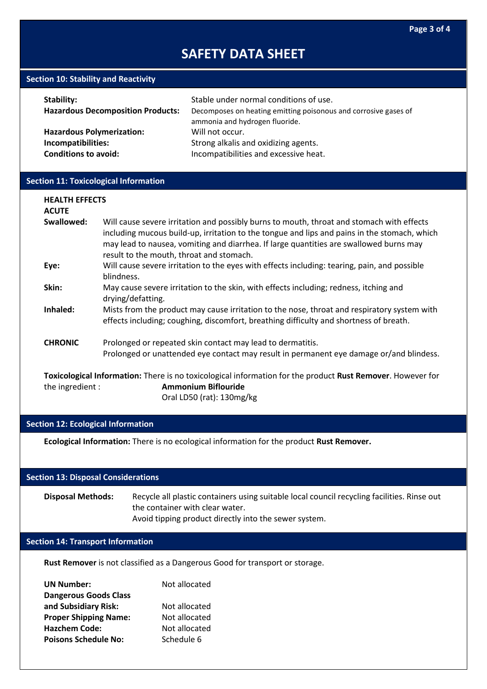#### **Section 10: Stability and Reactivity**

| Stability:                               | Stable under normal conditions of use.                                                            |
|------------------------------------------|---------------------------------------------------------------------------------------------------|
| <b>Hazardous Decomposition Products:</b> | Decomposes on heating emitting poisonous and corrosive gases of<br>ammonia and hydrogen fluoride. |
| <b>Hazardous Polymerization:</b>         | Will not occur.                                                                                   |
| Incompatibilities:                       | Strong alkalis and oxidizing agents.                                                              |
| <b>Conditions to avoid:</b>              | Incompatibilities and excessive heat.                                                             |

#### **Section 11: Toxicological Information**

| <b>HEALTH EFFECTS</b><br><b>ACUTE</b>                                                                      |                                                                                                                                                                                                                                                                                                                                 |  |
|------------------------------------------------------------------------------------------------------------|---------------------------------------------------------------------------------------------------------------------------------------------------------------------------------------------------------------------------------------------------------------------------------------------------------------------------------|--|
| Swallowed:                                                                                                 | Will cause severe irritation and possibly burns to mouth, throat and stomach with effects<br>including mucous build-up, irritation to the tongue and lips and pains in the stomach, which<br>may lead to nausea, vomiting and diarrhea. If large quantities are swallowed burns may<br>result to the mouth, throat and stomach. |  |
| Eye:                                                                                                       | Will cause severe irritation to the eyes with effects including: tearing, pain, and possible<br>blindness.                                                                                                                                                                                                                      |  |
| Skin:                                                                                                      | May cause severe irritation to the skin, with effects including; redness, itching and<br>drying/defatting.                                                                                                                                                                                                                      |  |
| Inhaled:                                                                                                   | Mists from the product may cause irritation to the nose, throat and respiratory system with<br>effects including; coughing, discomfort, breathing difficulty and shortness of breath.                                                                                                                                           |  |
| <b>CHRONIC</b>                                                                                             | Prolonged or repeated skin contact may lead to dermatitis.                                                                                                                                                                                                                                                                      |  |
|                                                                                                            | Prolonged or unattended eye contact may result in permanent eye damage or/and blindess.                                                                                                                                                                                                                                         |  |
| Toxicological Information: There is no toxicological information for the product Rust Remover. However for |                                                                                                                                                                                                                                                                                                                                 |  |
| the ingredient :                                                                                           | <b>Ammonium Biflouride</b>                                                                                                                                                                                                                                                                                                      |  |

Oral LD50 (rat): 130mg/kg

### **Section 12: Ecological Information**

**Ecological Information:** There is no ecological information for the product **Rust Remover.**

#### **Section 13: Disposal Considerations**

**Disposal Methods:** Recycle all plastic containers using suitable local council recycling facilities. Rinse out the container with clear water. Avoid tipping product directly into the sewer system.

### **Section 14: Transport Information**

**Rust Remover** is not classified as a Dangerous Good for transport or storage.

| <b>UN Number:</b>            | Not allocated |
|------------------------------|---------------|
| <b>Dangerous Goods Class</b> |               |
| and Subsidiary Risk:         | Not allocated |
| <b>Proper Shipping Name:</b> | Not allocated |
| <b>Hazchem Code:</b>         | Not allocated |
| <b>Poisons Schedule No:</b>  | Schedule 6    |